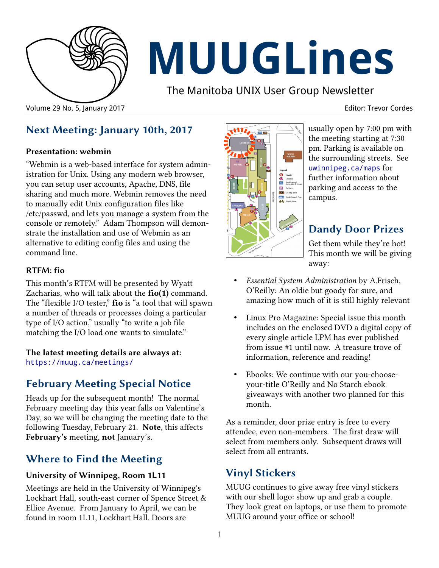

# **MUUGLines**

The Manitoba UNIX User Group Newsletter

## **Next Meeting: January 10th, 2017**

#### **Presentation: webmin**

"Webmin is a web-based interface for system administration for Unix. Using any modern web browser, you can setup user accounts, Apache, DNS, file sharing and much more. Webmin removes the need to manually edit Unix configuration files like /etc/passwd, and lets you manage a system from the console or remotely." Adam Thompson will demonstrate the installation and use of Webmin as an alternative to editing config files and using the command line.

#### **RTFM: fio**

This month's RTFM will be presented by Wyatt Zacharias, who will talk about the **fio(1)** command. The "flexible I/O tester," **fio** is "a tool that will spawn a number of threads or processes doing a particular type of I/O action," usually "to write a job file matching the I/O load one wants to simulate."

**The latest meeting details are always at:** <https://muug.ca/meetings/>

## **February Meeting Special Notice**

Heads up for the subsequent month! The normal February meeting day this year falls on Valentine's Day, so we will be changing the meeting date to the following Tuesday, February 21. **Note**, this affects **February's** meeting, **not** January's.

## **Where to Find the Meeting**

#### **University of Winnipeg, Room 1L11**

Meetings are held in the University of Winnipeg's Lockhart Hall, south-east corner of Spence Street & Ellice Avenue. From January to April, we can be found in room 1L11, Lockhart Hall. Doors are



usually open by 7:00 pm with the meeting starting at 7:30 pm. Parking is available on the surrounding streets. See [uwinnipeg.ca/maps](http://www.uwinnipeg.ca/maps) for further information about parking and access to the campus.

## **Dandy Door Prizes**

Get them while they're hot! This month we will be giving away:

- *Essential System Administration* by A.Frisch, O'Reilly: An oldie but goody for sure, and amazing how much of it is still highly relevant
- Linux Pro Magazine: Special issue this month includes on the enclosed DVD a digital copy of every single article LPM has ever published from issue #1 until now. A treasure trove of information, reference and reading!
- Ebooks: We continue with our you-chooseyour-title O'Reilly and No Starch ebook giveaways with another two planned for this month.

As a reminder, door prize entry is free to every attendee, even non-members. The first draw will select from members only. Subsequent draws will select from all entrants.

## **Vinyl Stickers**

MUUG continues to give away free vinyl stickers with our shell logo: show up and grab a couple. They look great on laptops, or use them to promote MUUG around your office or school!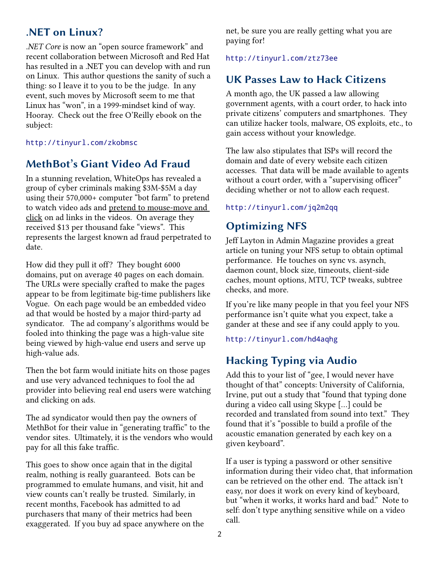## **.NET on Linux?**

*.NET Core* is now an "open source framework" and recent collaboration between Microsoft and Red Hat has resulted in a .NET you can develop with and run on Linux. This author questions the sanity of such a thing: so I leave it to you to be the judge. In any event, such moves by Microsoft seem to me that Linux has "won", in a 1999-mindset kind of way. Hooray. Check out the free O'Reilly ebook on the subject:

<http://tinyurl.com/zkobmsc>

## **MethBot's Giant Video Ad Fraud**

In a stunning revelation, WhiteOps has revealed a group of cyber criminals making \$3M-\$5M a day using their 570,000+ computer "bot farm" to pretend to watch video ads and pretend to mouse-move and click on ad links in the videos. On average they received \$13 per thousand fake "views". This represents the largest known ad fraud perpetrated to date.

How did they pull it off? They bought 6000 domains, put on average 40 pages on each domain. The URLs were specially crafted to make the pages appear to be from legitimate big-time publishers like Vogue. On each page would be an embedded video ad that would be hosted by a major third-party ad syndicator. The ad company's algorithms would be fooled into thinking the page was a high-value site being viewed by high-value end users and serve up high-value ads.

Then the bot farm would initiate hits on those pages and use very advanced techniques to fool the ad provider into believing real end users were watching and clicking on ads.

The ad syndicator would then pay the owners of MethBot for their value in "generating traffic" to the vendor sites. Ultimately, it is the vendors who would pay for all this fake traffic.

This goes to show once again that in the digital realm, nothing is really guaranteed. Bots can be programmed to emulate humans, and visit, hit and view counts can't really be trusted. Similarly, in recent months, Facebook has admitted to ad purchasers that many of their metrics had been exaggerated. If you buy ad space anywhere on the net, be sure you are really getting what you are paying for!

<http://tinyurl.com/ztz73ee>

## **UK Passes Law to Hack Citizens**

A month ago, the UK passed a law allowing government agents, with a court order, to hack into private citizens' computers and smartphones. They can utilize hacker tools, malware, OS exploits, etc., to gain access without your knowledge.

The law also stipulates that ISPs will record the domain and date of every website each citizen accesses. That data will be made available to agents without a court order, with a "supervising officer" deciding whether or not to allow each request.

#### <http://tinyurl.com/jq2m2qq>

## **Optimizing NFS**

Jeff Layton in Admin Magazine provides a great article on tuning your NFS setup to obtain optimal performance. He touches on sync vs. asynch, daemon count, block size, timeouts, client-side caches, mount options, MTU, TCP tweaks, subtree checks, and more.

If you're like many people in that you feel your NFS performance isn't quite what you expect, take a gander at these and see if any could apply to you.

<http://tinyurl.com/hd4aqhg>

## **Hacking Typing via Audio**

Add this to your list of "gee, I would never have thought of that" concepts: University of California, Irvine, put out a study that "found that typing done during a video call using Skype […] could be recorded and translated from sound into text." They found that it's "possible to build a profile of the acoustic emanation generated by each key on a given keyboard".

If a user is typing a password or other sensitive information during their video chat, that information can be retrieved on the other end. The attack isn't easy, nor does it work on every kind of keyboard, but "when it works, it works hard and bad." Note to self: don't type anything sensitive while on a video call.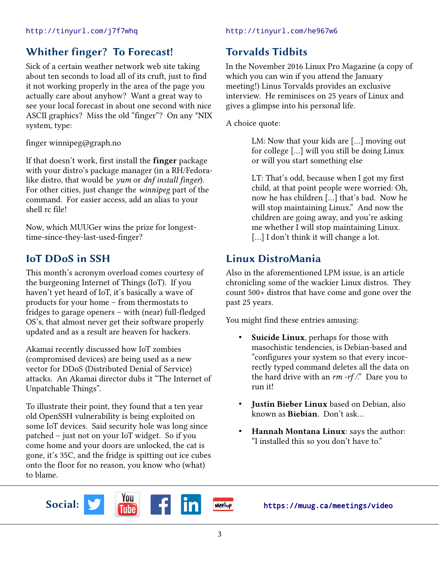## **Whither finger? To Forecast!**

Sick of a certain weather network web site taking about ten seconds to load all of its cruft, just to find it not working properly in the area of the page you actually care about anyhow? Want a great way to see your local forecast in about one second with nice ASCII graphics? Miss the old "finger"? On any \*NIX system, type:

finger winnipeg@graph.no

If that doesn't work, first install the **finger** package with your distro's package manager (in a RH/Fedoralike distro, that would be *yum* or *dnf install finger*). For other cities, just change the *winnipeg* part of the command. For easier access, add an alias to your shell rc file!

Now, which MUUGer wins the prize for longesttime-since-they-last-used-finger?

## **IoT DDoS in SSH**

This month's acronym overload comes courtesy of the burgeoning Internet of Things (IoT). If you haven't yet heard of IoT, it's basically a wave of products for your home – from thermostats to fridges to garage openers – with (near) full-fledged OS's, that almost never get their software properly updated and as a result are heaven for hackers.

Akamai recently discussed how IoT zombies (compromised devices) are being used as a new vector for DDoS (Distributed Denial of Service) attacks. An Akamai director dubs it "The Internet of Unpatchable Things".

To illustrate their point, they found that a ten year old OpenSSH vulnerability is being exploited on some IoT devices. Said security hole was long since patched – just not on your IoT widget. So if you come home and your doors are unlocked, the cat is gone, it's 35C, and the fridge is spitting out ice cubes onto the floor for no reason, you know who (what) to blame.

## **Torvalds Tidbits**

In the November 2016 Linux Pro Magazine (a copy of which you can win if you attend the January meeting!) Linus Torvalds provides an exclusive interview. He reminisces on 25 years of Linux and gives a glimpse into his personal life.

A choice quote:

LM: Now that your kids are […] moving out for college […] will you still be doing Linux or will you start something else

LT: That's odd, because when I got my first child, at that point people were worried: Oh, now he has children […] that's bad. Now he will stop maintaining Linux." And now the children are going away, and you're asking me whether I will stop maintaining Linux. [...] I don't think it will change a lot.

## **Linux DistroMania**

Also in the aforementioned LPM issue, is an article chronicling some of the wackier Linux distros. They count 500+ distros that have come and gone over the past 25 years.

You might find these entries amusing:

- Suicide Linux, perhaps for those with masochistic tendencies, is Debian-based and "configures your system so that every incorrectly typed command deletes all the data on the hard drive with an *rm -rf /*." Dare you to run it!
- **Justin Bieber Linux** based on Debian, also known as **Biebian**. Don't ask…
- **Hannah Montana Linux**: says the author: "I installed this so you don't have to."